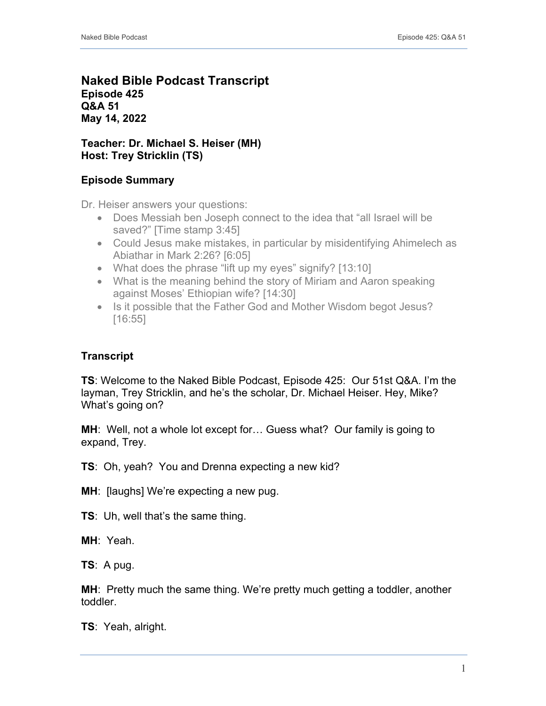# **Naked Bible Podcast Transcript Episode 425 Q&A 51 May 14, 2022**

# **Teacher: Dr. Michael S. Heiser (MH) Host: Trey Stricklin (TS)**

# **Episode Summary**

Dr. Heiser answers your questions:

- Does Messiah ben Joseph connect to the idea that "all Israel will be saved?" [Time stamp 3:45]
- Could Jesus make mistakes, in particular by misidentifying Ahimelech as Abiathar in Mark 2:26? [6:05]
- What does the phrase "lift up my eyes" signify? [13:10]
- What is the meaning behind the story of Miriam and Aaron speaking against Moses' Ethiopian wife? [14:30]
- Is it possible that the Father God and Mother Wisdom begot Jesus? [16:55]

# **Transcript**

**TS**: Welcome to the Naked Bible Podcast, Episode 425: Our 51st Q&A. I'm the layman, Trey Stricklin, and he's the scholar, Dr. Michael Heiser. Hey, Mike? What's going on?

**MH**: Well, not a whole lot except for… Guess what? Our family is going to expand, Trey.

**TS**: Oh, yeah? You and Drenna expecting a new kid?

**MH:** [laughs] We're expecting a new pug.

**TS**: Uh, well that's the same thing.

**MH**: Yeah.

**TS**: A pug.

**MH**: Pretty much the same thing. We're pretty much getting a toddler, another toddler.

**TS**: Yeah, alright.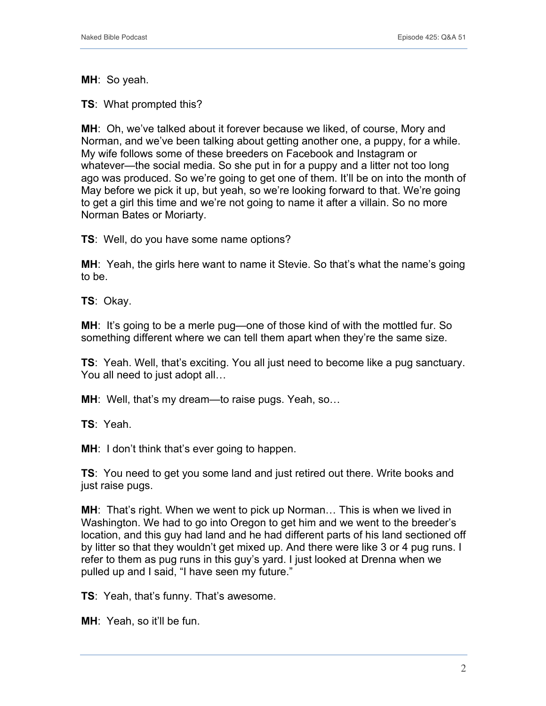**MH**: So yeah.

**TS**: What prompted this?

**MH**: Oh, we've talked about it forever because we liked, of course, Mory and Norman, and we've been talking about getting another one, a puppy, for a while. My wife follows some of these breeders on Facebook and Instagram or whatever—the social media. So she put in for a puppy and a litter not too long ago was produced. So we're going to get one of them. It'll be on into the month of May before we pick it up, but yeah, so we're looking forward to that. We're going to get a girl this time and we're not going to name it after a villain. So no more Norman Bates or Moriarty.

**TS**: Well, do you have some name options?

**MH**: Yeah, the girls here want to name it Stevie. So that's what the name's going to be.

**TS**: Okay.

**MH:** It's going to be a merle pug—one of those kind of with the mottled fur. So something different where we can tell them apart when they're the same size.

**TS**: Yeah. Well, that's exciting. You all just need to become like a pug sanctuary. You all need to just adopt all…

**MH**: Well, that's my dream—to raise pugs. Yeah, so…

**TS**: Yeah.

**MH:** I don't think that's ever going to happen.

**TS**: You need to get you some land and just retired out there. Write books and just raise pugs.

**MH**: That's right. When we went to pick up Norman… This is when we lived in Washington. We had to go into Oregon to get him and we went to the breeder's location, and this guy had land and he had different parts of his land sectioned off by litter so that they wouldn't get mixed up. And there were like 3 or 4 pug runs. I refer to them as pug runs in this guy's yard. I just looked at Drenna when we pulled up and I said, "I have seen my future."

**TS**: Yeah, that's funny. That's awesome.

**MH**: Yeah, so it'll be fun.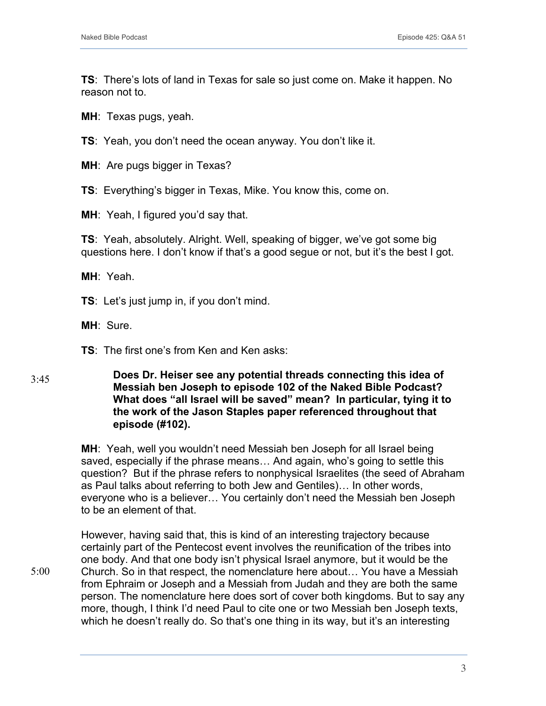**TS**: There's lots of land in Texas for sale so just come on. Make it happen. No reason not to.

**MH**: Texas pugs, yeah.

**TS**: Yeah, you don't need the ocean anyway. You don't like it.

**MH**: Are pugs bigger in Texas?

**TS**: Everything's bigger in Texas, Mike. You know this, come on.

**MH**: Yeah, I figured you'd say that.

**TS**: Yeah, absolutely. Alright. Well, speaking of bigger, we've got some big questions here. I don't know if that's a good segue or not, but it's the best I got.

**MH**: Yeah.

**TS**: Let's just jump in, if you don't mind.

**MH**: Sure.

5:00

**TS**: The first one's from Ken and Ken asks:

#### **Does Dr. Heiser see any potential threads connecting this idea of Messiah ben Joseph to episode 102 of the Naked Bible Podcast? What does "all Israel will be saved" mean? In particular, tying it to the work of the Jason Staples paper referenced throughout that episode (#102).** 3:45

**MH**: Yeah, well you wouldn't need Messiah ben Joseph for all Israel being saved, especially if the phrase means… And again, who's going to settle this question? But if the phrase refers to nonphysical Israelites (the seed of Abraham as Paul talks about referring to both Jew and Gentiles)… In other words, everyone who is a believer… You certainly don't need the Messiah ben Joseph to be an element of that.

However, having said that, this is kind of an interesting trajectory because certainly part of the Pentecost event involves the reunification of the tribes into one body. And that one body isn't physical Israel anymore, but it would be the Church. So in that respect, the nomenclature here about… You have a Messiah from Ephraim or Joseph and a Messiah from Judah and they are both the same person. The nomenclature here does sort of cover both kingdoms. But to say any more, though, I think I'd need Paul to cite one or two Messiah ben Joseph texts, which he doesn't really do. So that's one thing in its way, but it's an interesting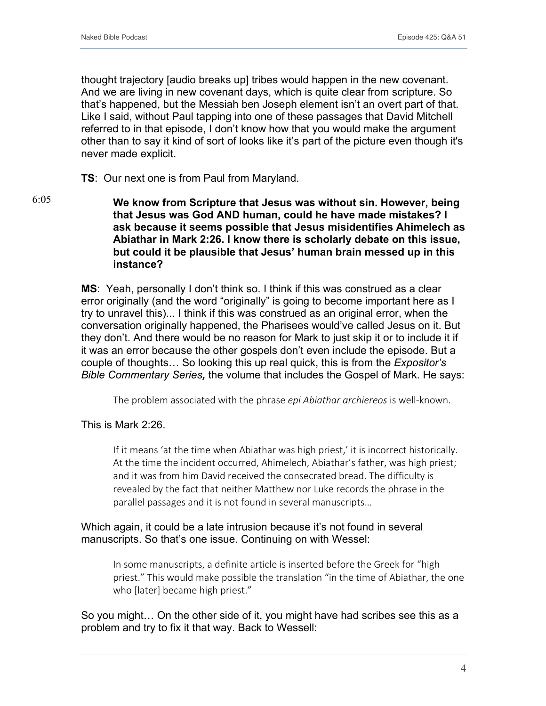thought trajectory [audio breaks up] tribes would happen in the new covenant. And we are living in new covenant days, which is quite clear from scripture. So that's happened, but the Messiah ben Joseph element isn't an overt part of that. Like I said, without Paul tapping into one of these passages that David Mitchell referred to in that episode, I don't know how that you would make the argument other than to say it kind of sort of looks like it's part of the picture even though it's never made explicit.

#### **TS**: Our next one is from Paul from Maryland.

**We know from Scripture that Jesus was without sin. However, being that Jesus was God AND human, could he have made mistakes? I ask because it seems possible that Jesus misidentifies Ahimelech as Abiathar in Mark 2:26. I know there is scholarly debate on this issue, but could it be plausible that Jesus' human brain messed up in this instance?** 6:05

> **MS**: Yeah, personally I don't think so. I think if this was construed as a clear error originally (and the word "originally" is going to become important here as I try to unravel this)... I think if this was construed as an original error, when the conversation originally happened, the Pharisees would've called Jesus on it. But they don't. And there would be no reason for Mark to just skip it or to include it if it was an error because the other gospels don't even include the episode. But a couple of thoughts… So looking this up real quick, this is from the *Expositor's Bible Commentary Series,* the volume that includes the Gospel of Mark. He says:

The problem associated with the phrase *epi Abiathar archiereos* is well-known.

#### This is Mark 2:26.

If it means 'at the time when Abiathar was high priest,' it is incorrect historically. At the time the incident occurred, Ahimelech, Abiathar's father, was high priest; and it was from him David received the consecrated bread. The difficulty is revealed by the fact that neither Matthew nor Luke records the phrase in the parallel passages and it is not found in several manuscripts…

## Which again, it could be a late intrusion because it's not found in several manuscripts. So that's one issue. Continuing on with Wessel:

In some manuscripts, a definite article is inserted before the Greek for "high priest." This would make possible the translation "in the time of Abiathar, the one who [later] became high priest."

So you might… On the other side of it, you might have had scribes see this as a problem and try to fix it that way. Back to Wessell: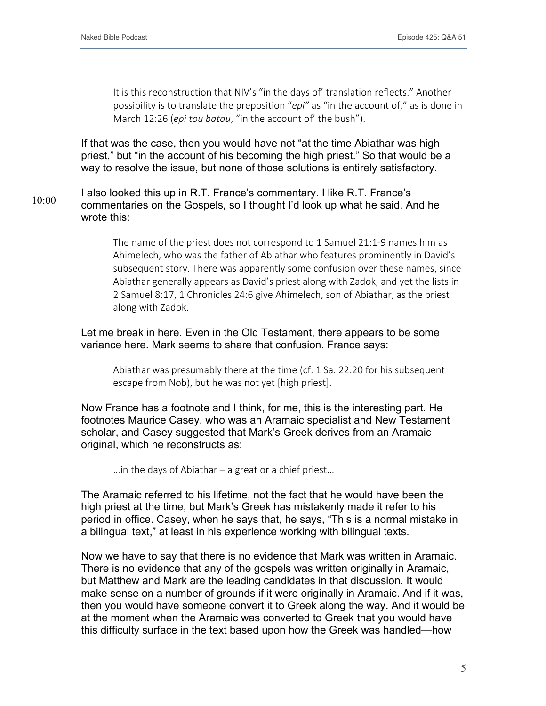It is this reconstruction that NIV's "in the days of' translation reflects." Another possibility is to translate the preposition "*epi"* as "in the account of," as is done in March 12:26 (*epi tou batou*, "in the account of' the bush").

If that was the case, then you would have not "at the time Abiathar was high priest," but "in the account of his becoming the high priest." So that would be a way to resolve the issue, but none of those solutions is entirely satisfactory.

I also looked this up in R.T. France's commentary. I like R.T. France's commentaries on the Gospels, so I thought I'd look up what he said. And he wrote this: 10:00

> The name of the priest does not correspond to 1 Samuel 21:1-9 names him as Ahimelech, who was the father of Abiathar who features prominently in David's subsequent story. There was apparently some confusion over these names, since Abiathar generally appears as David's priest along with Zadok, and yet the lists in 2 Samuel 8:17, 1 Chronicles 24:6 give Ahimelech, son of Abiathar, as the priest along with Zadok.

## Let me break in here. Even in the Old Testament, there appears to be some variance here. Mark seems to share that confusion. France says:

Abiathar was presumably there at the time (cf. 1 Sa. 22:20 for his subsequent escape from Nob), but he was not yet [high priest].

Now France has a footnote and I think, for me, this is the interesting part. He footnotes Maurice Casey, who was an Aramaic specialist and New Testament scholar, and Casey suggested that Mark's Greek derives from an Aramaic original, which he reconstructs as:

…in the days of Abiathar – a great or a chief priest…

The Aramaic referred to his lifetime, not the fact that he would have been the high priest at the time, but Mark's Greek has mistakenly made it refer to his period in office. Casey, when he says that, he says, "This is a normal mistake in a bilingual text," at least in his experience working with bilingual texts.

Now we have to say that there is no evidence that Mark was written in Aramaic. There is no evidence that any of the gospels was written originally in Aramaic, but Matthew and Mark are the leading candidates in that discussion. It would make sense on a number of grounds if it were originally in Aramaic. And if it was, then you would have someone convert it to Greek along the way. And it would be at the moment when the Aramaic was converted to Greek that you would have this difficulty surface in the text based upon how the Greek was handled—how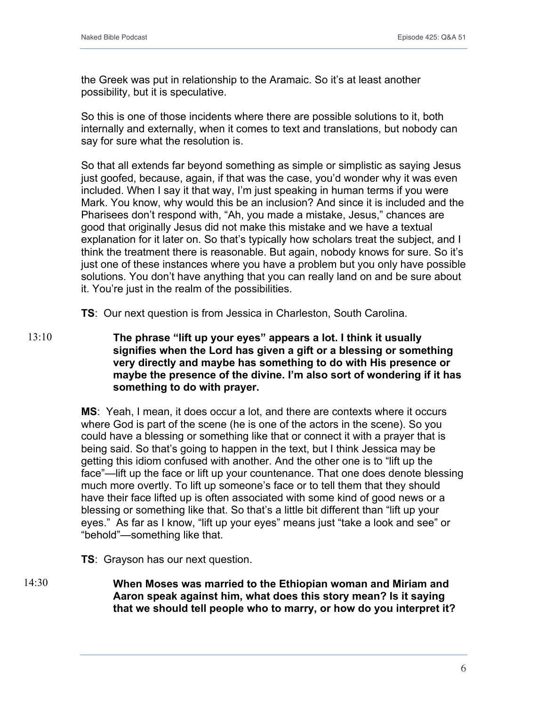the Greek was put in relationship to the Aramaic. So it's at least another possibility, but it is speculative.

So this is one of those incidents where there are possible solutions to it, both internally and externally, when it comes to text and translations, but nobody can say for sure what the resolution is.

So that all extends far beyond something as simple or simplistic as saying Jesus just goofed, because, again, if that was the case, you'd wonder why it was even included. When I say it that way, I'm just speaking in human terms if you were Mark. You know, why would this be an inclusion? And since it is included and the Pharisees don't respond with, "Ah, you made a mistake, Jesus," chances are good that originally Jesus did not make this mistake and we have a textual explanation for it later on. So that's typically how scholars treat the subject, and I think the treatment there is reasonable. But again, nobody knows for sure. So it's just one of these instances where you have a problem but you only have possible solutions. You don't have anything that you can really land on and be sure about it. You're just in the realm of the possibilities.

**TS**: Our next question is from Jessica in Charleston, South Carolina.

**The phrase "lift up your eyes" appears a lot. I think it usually signifies when the Lord has given a gift or a blessing or something very directly and maybe has something to do with His presence or maybe the presence of the divine. I'm also sort of wondering if it has something to do with prayer.** 13:10

> **MS**: Yeah, I mean, it does occur a lot, and there are contexts where it occurs where God is part of the scene (he is one of the actors in the scene). So you could have a blessing or something like that or connect it with a prayer that is being said. So that's going to happen in the text, but I think Jessica may be getting this idiom confused with another. And the other one is to "lift up the face"—lift up the face or lift up your countenance. That one does denote blessing much more overtly. To lift up someone's face or to tell them that they should have their face lifted up is often associated with some kind of good news or a blessing or something like that. So that's a little bit different than "lift up your eyes." As far as I know, "lift up your eyes" means just "take a look and see" or "behold"—something like that.

**TS**: Grayson has our next question.

**When Moses was married to the Ethiopian woman and Miriam and Aaron speak against him, what does this story mean? Is it saying that we should tell people who to marry, or how do you interpret it?** 14:30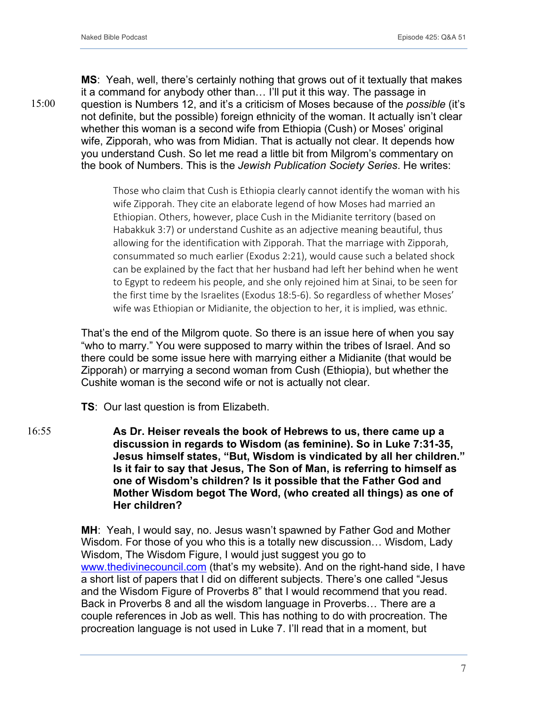**MS**: Yeah, well, there's certainly nothing that grows out of it textually that makes it a command for anybody other than… I'll put it this way. The passage in question is Numbers 12, and it's a criticism of Moses because of the *possible* (it's not definite, but the possible) foreign ethnicity of the woman. It actually isn't clear whether this woman is a second wife from Ethiopia (Cush) or Moses' original wife, Zipporah, who was from Midian. That is actually not clear. It depends how you understand Cush. So let me read a little bit from Milgrom's commentary on the book of Numbers. This is the *Jewish Publication Society Series*. He writes:

Those who claim that Cush is Ethiopia clearly cannot identify the woman with his wife Zipporah. They cite an elaborate legend of how Moses had married an Ethiopian. Others, however, place Cush in the Midianite territory (based on Habakkuk 3:7) or understand Cushite as an adjective meaning beautiful, thus allowing for the identification with Zipporah. That the marriage with Zipporah, consummated so much earlier (Exodus 2:21), would cause such a belated shock can be explained by the fact that her husband had left her behind when he went to Egypt to redeem his people, and she only rejoined him at Sinai, to be seen for the first time by the Israelites (Exodus 18:5-6). So regardless of whether Moses' wife was Ethiopian or Midianite, the objection to her, it is implied, was ethnic.

That's the end of the Milgrom quote. So there is an issue here of when you say "who to marry." You were supposed to marry within the tribes of Israel. And so there could be some issue here with marrying either a Midianite (that would be Zipporah) or marrying a second woman from Cush (Ethiopia), but whether the Cushite woman is the second wife or not is actually not clear.

**TS**: Our last question is from Elizabeth.

**As Dr. Heiser reveals the book of Hebrews to us, there came up a discussion in regards to Wisdom (as feminine). So in Luke 7:31-35, Jesus himself states, "But, Wisdom is vindicated by all her children." Is it fair to say that Jesus, The Son of Man, is referring to himself as one of Wisdom's children? Is it possible that the Father God and Mother Wisdom begot The Word, (who created all things) as one of Her children?** 16:55

> **MH**: Yeah, I would say, no. Jesus wasn't spawned by Father God and Mother Wisdom. For those of you who this is a totally new discussion… Wisdom, Lady Wisdom, The Wisdom Figure, I would just suggest you go to www.thedivinecouncil.com (that's my website). And on the right-hand side, I have a short list of papers that I did on different subjects. There's one called "Jesus and the Wisdom Figure of Proverbs 8" that I would recommend that you read. Back in Proverbs 8 and all the wisdom language in Proverbs… There are a couple references in Job as well. This has nothing to do with procreation. The procreation language is not used in Luke 7. I'll read that in a moment, but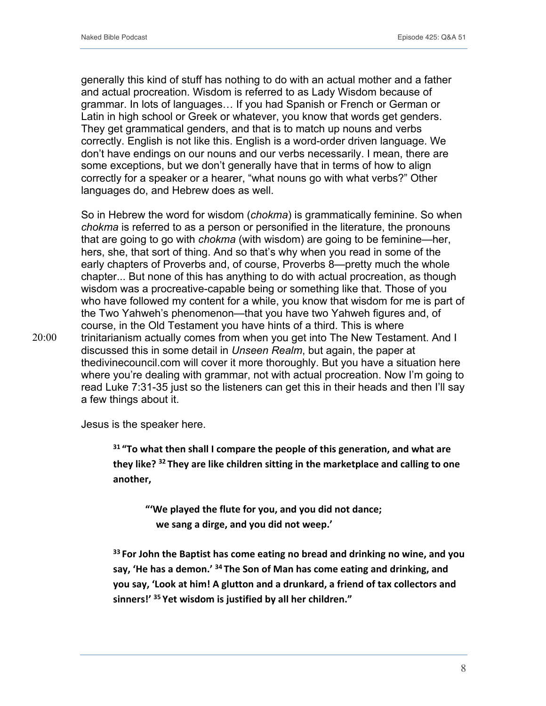generally this kind of stuff has nothing to do with an actual mother and a father and actual procreation. Wisdom is referred to as Lady Wisdom because of grammar. In lots of languages… If you had Spanish or French or German or Latin in high school or Greek or whatever, you know that words get genders. They get grammatical genders, and that is to match up nouns and verbs correctly. English is not like this. English is a word-order driven language. We don't have endings on our nouns and our verbs necessarily. I mean, there are some exceptions, but we don't generally have that in terms of how to align correctly for a speaker or a hearer, "what nouns go with what verbs?" Other languages do, and Hebrew does as well.

So in Hebrew the word for wisdom (*chokma*) is grammatically feminine. So when *chokma* is referred to as a person or personified in the literature, the pronouns that are going to go with *chokma* (with wisdom) are going to be feminine—her, hers, she, that sort of thing. And so that's why when you read in some of the early chapters of Proverbs and, of course, Proverbs 8—pretty much the whole chapter... But none of this has anything to do with actual procreation, as though wisdom was a procreative-capable being or something like that. Those of you who have followed my content for a while, you know that wisdom for me is part of the Two Yahweh's phenomenon—that you have two Yahweh figures and, of course, in the Old Testament you have hints of a third. This is where trinitarianism actually comes from when you get into The New Testament. And I discussed this in some detail in *Unseen Realm*, but again, the paper at thedivinecouncil.com will cover it more thoroughly. But you have a situation here where you're dealing with grammar, not with actual procreation. Now I'm going to read Luke 7:31-35 just so the listeners can get this in their heads and then I'll say a few things about it.

Jesus is the speaker here.

**<sup>31</sup> "To what then shall I compare the people of this generation, and what are they like? <sup>32</sup> They are like children sitting in the marketplace and calling to one another,**

**"'We played the flute for you, and you did not dance; we sang a dirge, and you did not weep.'**

**<sup>33</sup> For John the Baptist has come eating no bread and drinking no wine, and you say, 'He has a demon.' <sup>34</sup> The Son of Man has come eating and drinking, and you say, 'Look at him! A glutton and a drunkard, a friend of tax collectors and sinners!' <sup>35</sup> Yet wisdom is justified by all her children."**

20:00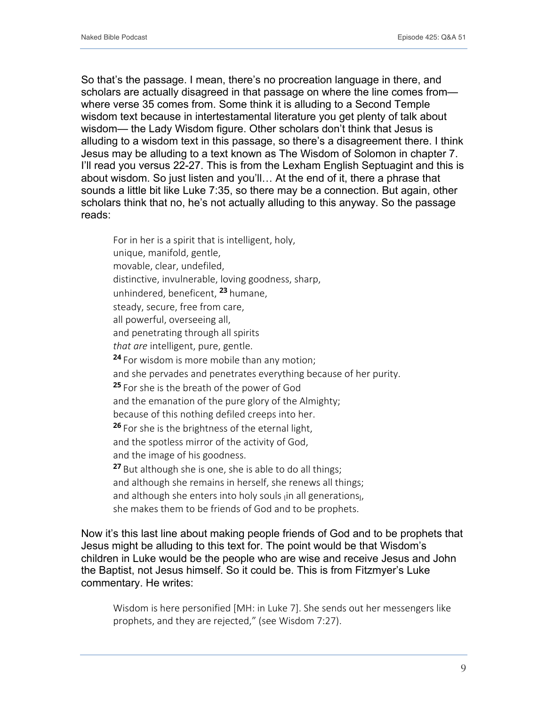So that's the passage. I mean, there's no procreation language in there, and scholars are actually disagreed in that passage on where the line comes from where verse 35 comes from. Some think it is alluding to a Second Temple wisdom text because in intertestamental literature you get plenty of talk about wisdom— the Lady Wisdom figure. Other scholars don't think that Jesus is alluding to a wisdom text in this passage, so there's a disagreement there. I think Jesus may be alluding to a text known as The Wisdom of Solomon in chapter 7. I'll read you versus 22-27. This is from the Lexham English Septuagint and this is about wisdom. So just listen and you'll… At the end of it, there a phrase that sounds a little bit like Luke 7:35, so there may be a connection. But again, other scholars think that no, he's not actually alluding to this anyway. So the passage reads:

For in her is a spirit that is intelligent, holy, unique, manifold, gentle, movable, clear, undefiled, distinctive, invulnerable, loving goodness, sharp, unhindered, beneficent, **<sup>23</sup>** humane, steady, secure, free from care, all powerful, overseeing all, and penetrating through all spirits *that are* intelligent, pure, gentle. **<sup>24</sup>** For wisdom is more mobile than any motion; and she pervades and penetrates everything because of her purity. **<sup>25</sup>** For she is the breath of the power of God and the emanation of the pure glory of the Almighty; because of this nothing defiled creeps into her. **<sup>26</sup>** For she is the brightness of the eternal light, and the spotless mirror of the activity of God, and the image of his goodness. **<sup>27</sup>** But although she is one, she is able to do all things; and although she remains in herself, she renews all things; and although she enters into holy souls in all generations<sub>1</sub>, she makes them to be friends of God and to be prophets.

Now it's this last line about making people friends of God and to be prophets that Jesus might be alluding to this text for. The point would be that Wisdom's children in Luke would be the people who are wise and receive Jesus and John the Baptist, not Jesus himself. So it could be. This is from Fitzmyer's Luke commentary. He writes:

Wisdom is here personified [MH: in Luke 7]. She sends out her messengers like prophets, and they are rejected," (see Wisdom 7:27).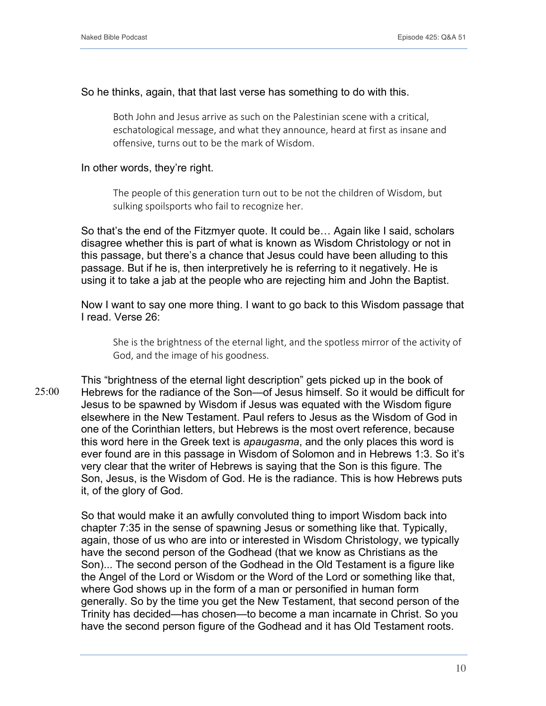### So he thinks, again, that that last verse has something to do with this.

Both John and Jesus arrive as such on the Palestinian scene with a critical, eschatological message, and what they announce, heard at first as insane and offensive, turns out to be the mark of Wisdom.

#### In other words, they're right.

The people of this generation turn out to be not the children of Wisdom, but sulking spoilsports who fail to recognize her.

So that's the end of the Fitzmyer quote. It could be… Again like I said, scholars disagree whether this is part of what is known as Wisdom Christology or not in this passage, but there's a chance that Jesus could have been alluding to this passage. But if he is, then interpretively he is referring to it negatively. He is using it to take a jab at the people who are rejecting him and John the Baptist.

Now I want to say one more thing. I want to go back to this Wisdom passage that I read. Verse 26:

She is the brightness of the eternal light, and the spotless mirror of the activity of God, and the image of his goodness.

This "brightness of the eternal light description" gets picked up in the book of Hebrews for the radiance of the Son—of Jesus himself. So it would be difficult for Jesus to be spawned by Wisdom if Jesus was equated with the Wisdom figure elsewhere in the New Testament. Paul refers to Jesus as the Wisdom of God in one of the Corinthian letters, but Hebrews is the most overt reference, because this word here in the Greek text is *apaugasma*, and the only places this word is ever found are in this passage in Wisdom of Solomon and in Hebrews 1:3. So it's very clear that the writer of Hebrews is saying that the Son is this figure. The Son, Jesus, is the Wisdom of God. He is the radiance. This is how Hebrews puts it, of the glory of God. 25:00

> So that would make it an awfully convoluted thing to import Wisdom back into chapter 7:35 in the sense of spawning Jesus or something like that. Typically, again, those of us who are into or interested in Wisdom Christology, we typically have the second person of the Godhead (that we know as Christians as the Son)... The second person of the Godhead in the Old Testament is a figure like the Angel of the Lord or Wisdom or the Word of the Lord or something like that, where God shows up in the form of a man or personified in human form generally. So by the time you get the New Testament, that second person of the Trinity has decided—has chosen—to become a man incarnate in Christ. So you have the second person figure of the Godhead and it has Old Testament roots.